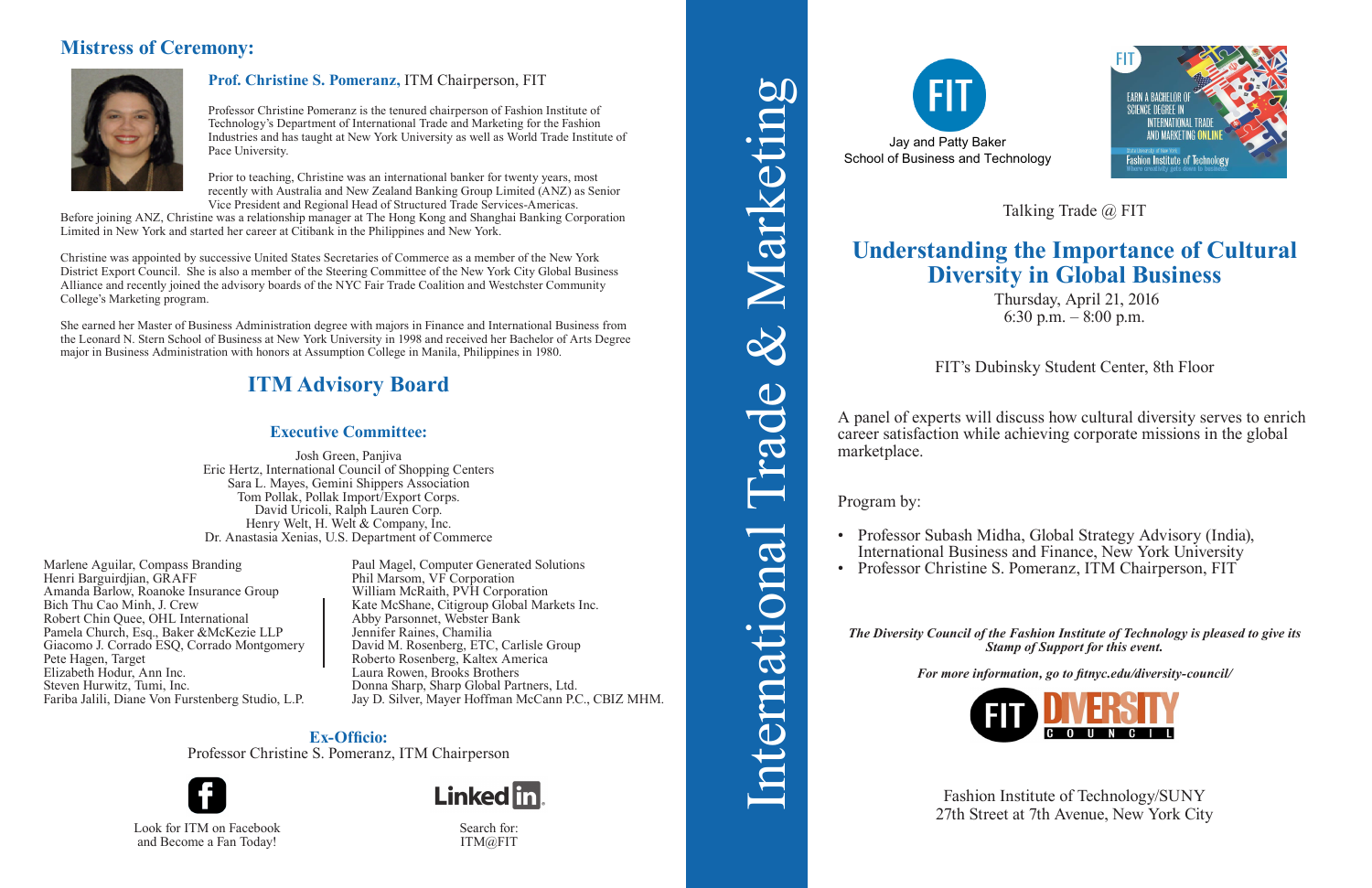# **Understanding the Importance of Cultural Diversity in Global Business**

Thursday, April 21, 2016 6:30 p.m. – 8:00 p.m.

FIT's Dubinsky Student Center, 8th Floor

• Professor Subash Midha, Global Strategy Advisory (India), International Business and Finance, New York University • Professor Christine S. Pomeranz, ITM Chairperson, FIT

A panel of experts will discuss how cultural diversity serves to enrich career satisfaction while achieving corporate missions in the global marketplace.

Program by:

Fashion Institute of Technology/SUNY Experience at 7th Avenue, New York City Search for:<br>
Search for:<br>
Search for:



Talking Trade @ FIT

*The Diversity Council of the Fashion Institute of Technology is pleased to give its Stamp of Support for this event.*

*For more information, go to fitnyc.edu/diversity-council/*



International Trade & Marketing

ntemationa

DC.

 $\bigcirc$ 

& Marketing

- 
- 

and Become a Fan Today!



Search for: ITM@FIT

# **Mistress of Ceremony:**



### **Prof. Christine S. Pomeranz,** ITM Chairperson, FIT

Professor Christine Pomeranz is the tenured chairperson of Fashion Institute of Technology's Department of International Trade and Marketing for the Fashion Industries and has taught at New York University as well as World Trade Institute of Pace University.

Prior to teaching, Christine was an international banker for twenty years, most recently with Australia and New Zealand Banking Group Limited (ANZ) as Senior Vice President and Regional Head of Structured Trade Services-Americas.

Before joining ANZ, Christine was a relationship manager at The Hong Kong and Shanghai Banking Corporation Limited in New York and started her career at Citibank in the Philippines and New York.

Christine was appointed by successive United States Secretaries of Commerce as a member of the New York District Export Council. She is also a member of the Steering Committee of the New York City Global Business Alliance and recently joined the advisory boards of the NYC Fair Trade Coalition and Westchster Community College's Marketing program.

She earned her Master of Business Administration degree with majors in Finance and International Business from the Leonard N. Stern School of Business at New York University in 1998 and received her Bachelor of Arts Degree major in Business Administration with honors at Assumption College in Manila, Philippines in 1980.

### **Executive Committee:**

Josh Green, Panjiva Eric Hertz, International Council of Shopping Centers Sara L. Mayes, Gemini Shippers Association Tom Pollak, Pollak Import/Export Corps. David Uricoli, Ralph Lauren Corp. Henry Welt, H. Welt & Company, Inc. Dr. Anastasia Xenias, U.S. Department of Commerce

**Ex-Officio:**  Professor Christine S. Pomeranz, ITM Chairperson



# **ITM Advisory Board**

Paul Magel, Computer Generated Solutions Phil Marsom, VF Corporation William McRaith, PVH Corporation Kate McShane, Citigroup Global Markets Inc. Abby Parsonnet, Webster Bank Jennifer Raines, Chamilia David M. Rosenberg, ETC, Carlisle Group Roberto Rosenberg, Kaltex America Laura Rowen, Brooks Brothers Donna Sharp, Sharp Global Partners, Ltd. Jay D. Silver, Mayer Hoffman McCann P.C., CBIZ MHM.

Marlene Aguilar, Compass Branding Henri Barguirdjian, GRAFF Amanda Barlow, Roanoke Insurance Group Bich Thu Cao Minh, J. Crew Robert Chin Quee, OHL International Pamela Church, Esq., Baker &McKezie LLP Giacomo J. Corrado ESQ, Corrado Montgomery Pete Hagen, Target Elizabeth Hodur, Ann Inc. Steven Hurwitz, Tumi, Inc. Fariba Jalili, Diane Von Furstenberg Studio, L.P.